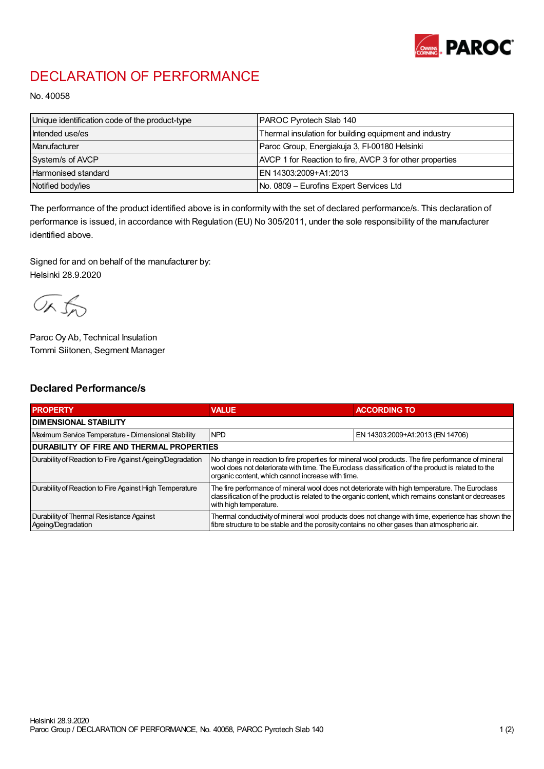

## DECLARATION OF PERFORMANCE

No. 40058

| Unique identification code of the product-type | PAROC Pyrotech Slab 140                                  |
|------------------------------------------------|----------------------------------------------------------|
| Intended use/es                                | Thermal insulation for building equipment and industry   |
| <b>Manufacturer</b>                            | Paroc Group, Energiakuja 3, FI-00180 Helsinki            |
| System/s of AVCP                               | AVCP 1 for Reaction to fire, AVCP 3 for other properties |
| <b>Harmonised standard</b>                     | EN 14303:2009+A1:2013                                    |
| Notified body/ies                              | No. 0809 – Eurofins Expert Services Ltd                  |

The performance of the product identified above is in conformity with the set of declared performance/s. This declaration of performance is issued, in accordance with Regulation (EU) No 305/2011, under the sole responsibility of the manufacturer identified above.

Signed for and on behalf of the manufacturer by: Helsinki 28.9.2020

ORJO

Paroc Oy Ab, Technical Insulation Tommi Siitonen, Segment Manager

## Declared Performance/s

| <b>PROPERTY</b>                                                | <b>VALUE</b>                                                                                                                                                                                                                                                   | <b>ACCORDING TO</b>              |  |
|----------------------------------------------------------------|----------------------------------------------------------------------------------------------------------------------------------------------------------------------------------------------------------------------------------------------------------------|----------------------------------|--|
| <b>I DIMENSIONAL STABILITY</b>                                 |                                                                                                                                                                                                                                                                |                                  |  |
| Maximum Service Temperature - Dimensional Stability            | <b>NPD</b>                                                                                                                                                                                                                                                     | EN 14303:2009+A1:2013 (EN 14706) |  |
| <b>DURABILITY OF FIRE AND THERMAL PROPERTIES</b>               |                                                                                                                                                                                                                                                                |                                  |  |
| Durability of Reaction to Fire Against Ageing/Degradation      | No change in reaction to fire properties for mineral wool products. The fire performance of mineral<br>wool does not deteriorate with time. The Euroclass classification of the product is related to the<br>organic content, which cannot increase with time. |                                  |  |
| Durability of Reaction to Fire Against High Temperature        | The fire performance of mineral wool does not deteriorate with high temperature. The Euroclass<br>classification of the product is related to the organic content, which remains constant or decreases<br>with high temperature.                               |                                  |  |
| Durability of Thermal Resistance Against<br>Ageing/Degradation | Thermal conductivity of mineral wool products does not change with time, experience has shown the<br>fibre structure to be stable and the porosity contains no other gases than atmospheric air.                                                               |                                  |  |